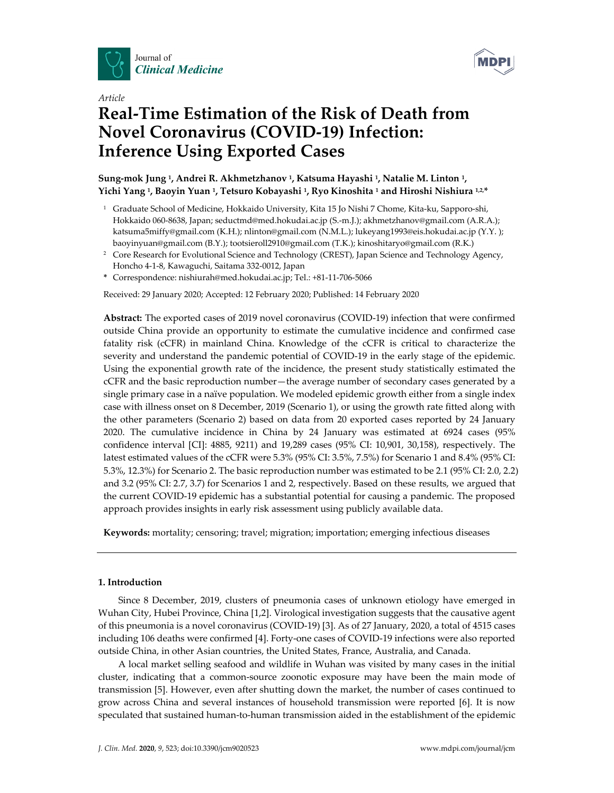



# *Article*  **Real-Time Estimation of the Risk of Death from Novel Coronavirus (COVID-19) Infection: Inference Using Exported Cases**

# **Sung-mok Jung 1, Andrei R. Akhmetzhanov 1, Katsuma Hayashi 1, Natalie M. Linton 1, Yichi Yang 1, Baoyin Yuan 1, Tetsuro Kobayashi 1, Ryo Kinoshita 1 and Hiroshi Nishiura 1,2,\***

- <sup>1</sup> Graduate School of Medicine, Hokkaido University, Kita 15 Jo Nishi 7 Chome, Kita-ku, Sapporo-shi, Hokkaido 060-8638, Japan; seductmd@med.hokudai.ac.jp (S.-m.J.); akhmetzhanov@gmail.com (A.R.A.); katsuma5miffy@gmail.com (K.H.); nlinton@gmail.com (N.M.L.); lukeyang1993@eis.hokudai.ac.jp (Y.Y.); baoyinyuan@gmail.com (B.Y.); tootsieroll2910@gmail.com (T.K.); kinoshitaryo@gmail.com (R.K.)
- <sup>2</sup> Core Research for Evolutional Science and Technology (CREST), Japan Science and Technology Agency, Honcho 4-1-8, Kawaguchi, Saitama 332-0012, Japan
- **\*** Correspondence: nishiurah@med.hokudai.ac.jp; Tel.: +81-11-706-5066

Received: 29 January 2020; Accepted: 12 February 2020; Published: 14 February 2020

**Abstract:** The exported cases of 2019 novel coronavirus (COVID-19) infection that were confirmed outside China provide an opportunity to estimate the cumulative incidence and confirmed case fatality risk (cCFR) in mainland China. Knowledge of the cCFR is critical to characterize the severity and understand the pandemic potential of COVID-19 in the early stage of the epidemic. Using the exponential growth rate of the incidence, the present study statistically estimated the cCFR and the basic reproduction number—the average number of secondary cases generated by a single primary case in a naïve population. We modeled epidemic growth either from a single index case with illness onset on 8 December, 2019 (Scenario 1), or using the growth rate fitted along with the other parameters (Scenario 2) based on data from 20 exported cases reported by 24 January 2020. The cumulative incidence in China by 24 January was estimated at 6924 cases (95% confidence interval [CI]: 4885, 9211) and 19,289 cases (95% CI: 10,901, 30,158), respectively. The latest estimated values of the cCFR were 5.3% (95% CI: 3.5%, 7.5%) for Scenario 1 and 8.4% (95% CI: 5.3%, 12.3%) for Scenario 2. The basic reproduction number was estimated to be 2.1 (95% CI: 2.0, 2.2) and 3.2 (95% CI: 2.7, 3.7) for Scenarios 1 and 2, respectively. Based on these results, we argued that the current COVID-19 epidemic has a substantial potential for causing a pandemic. The proposed approach provides insights in early risk assessment using publicly available data.

**Keywords:** mortality; censoring; travel; migration; importation; emerging infectious diseases

# **1. Introduction**

Since 8 December, 2019, clusters of pneumonia cases of unknown etiology have emerged in Wuhan City, Hubei Province, China [1,2]. Virological investigation suggests that the causative agent of this pneumonia is a novel coronavirus (COVID-19) [3]. As of 27 January, 2020, a total of 4515 cases including 106 deaths were confirmed [4]. Forty-one cases of COVID-19 infections were also reported outside China, in other Asian countries, the United States, France, Australia, and Canada.

A local market selling seafood and wildlife in Wuhan was visited by many cases in the initial cluster, indicating that a common-source zoonotic exposure may have been the main mode of transmission [5]. However, even after shutting down the market, the number of cases continued to grow across China and several instances of household transmission were reported [6]. It is now speculated that sustained human-to-human transmission aided in the establishment of the epidemic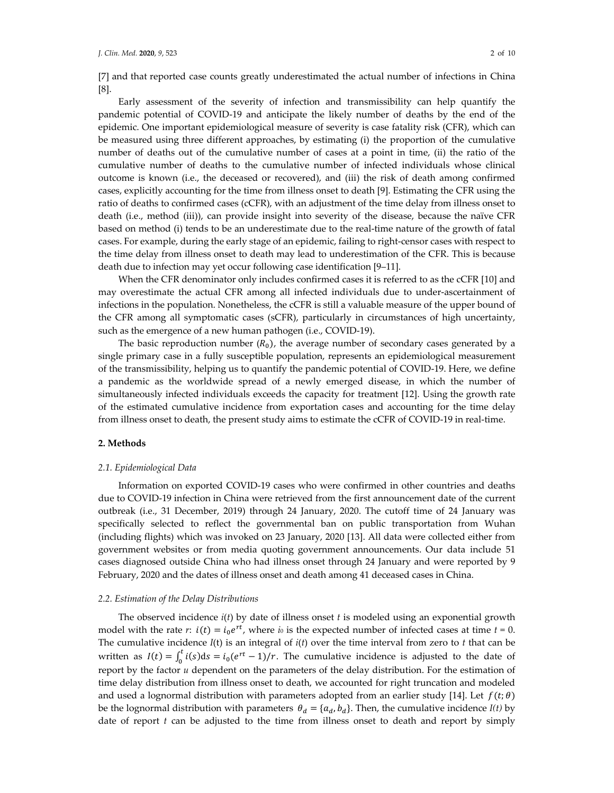[7] and that reported case counts greatly underestimated the actual number of infections in China [8].

Early assessment of the severity of infection and transmissibility can help quantify the pandemic potential of COVID-19 and anticipate the likely number of deaths by the end of the epidemic. One important epidemiological measure of severity is case fatality risk (CFR), which can be measured using three different approaches, by estimating (i) the proportion of the cumulative number of deaths out of the cumulative number of cases at a point in time, (ii) the ratio of the cumulative number of deaths to the cumulative number of infected individuals whose clinical outcome is known (i.e., the deceased or recovered), and (iii) the risk of death among confirmed cases, explicitly accounting for the time from illness onset to death [9]. Estimating the CFR using the ratio of deaths to confirmed cases (cCFR), with an adjustment of the time delay from illness onset to death (i.e., method (iii)), can provide insight into severity of the disease, because the naïve CFR based on method (i) tends to be an underestimate due to the real-time nature of the growth of fatal cases. For example, during the early stage of an epidemic, failing to right-censor cases with respect to the time delay from illness onset to death may lead to underestimation of the CFR. This is because death due to infection may yet occur following case identification [9–11].

When the CFR denominator only includes confirmed cases it is referred to as the cCFR [10] and may overestimate the actual CFR among all infected individuals due to under-ascertainment of infections in the population. Nonetheless, the cCFR is still a valuable measure of the upper bound of the CFR among all symptomatic cases (sCFR), particularly in circumstances of high uncertainty, such as the emergence of a new human pathogen (i.e., COVID-19).

The basic reproduction number  $(R_0)$ , the average number of secondary cases generated by a single primary case in a fully susceptible population, represents an epidemiological measurement of the transmissibility, helping us to quantify the pandemic potential of COVID-19. Here, we define a pandemic as the worldwide spread of a newly emerged disease, in which the number of simultaneously infected individuals exceeds the capacity for treatment [12]. Using the growth rate of the estimated cumulative incidence from exportation cases and accounting for the time delay from illness onset to death, the present study aims to estimate the cCFR of COVID-19 in real-time.

## **2. Methods**

#### *2.1. Epidemiological Data*

Information on exported COVID-19 cases who were confirmed in other countries and deaths due to COVID-19 infection in China were retrieved from the first announcement date of the current outbreak (i.e., 31 December, 2019) through 24 January, 2020. The cutoff time of 24 January was specifically selected to reflect the governmental ban on public transportation from Wuhan (including flights) which was invoked on 23 January, 2020 [13]. All data were collected either from government websites or from media quoting government announcements. Our data include 51 cases diagnosed outside China who had illness onset through 24 January and were reported by 9 February, 2020 and the dates of illness onset and death among 41 deceased cases in China.

#### *2.2. Estimation of the Delay Distributions*

The observed incidence *i*(*t*) by date of illness onset *t* is modeled using an exponential growth model with the rate *r*:  $i(t) = i_0 e^{rt}$ , where *i*<sup>0</sup> is the expected number of infected cases at time  $t = 0$ . The cumulative incidence *I*(t) is an integral of *i*(*t*) over the time interval from zero to *t* that can be written as  $I(t) = \int_0^t i(s) ds = i_0 (e^{rt} - 1)/r$ . The cumulative incidence is adjusted to the date of report by the factor *u* dependent on the parameters of the delay distribution. For the estimation of time delay distribution from illness onset to death, we accounted for right truncation and modeled and used a lognormal distribution with parameters adopted from an earlier study [14]. Let  $f(t; \theta)$ be the lognormal distribution with parameters  $\theta_d = \{a_d, b_d\}$ . Then, the cumulative incidence  $I(t)$  by date of report *t* can be adjusted to the time from illness onset to death and report by simply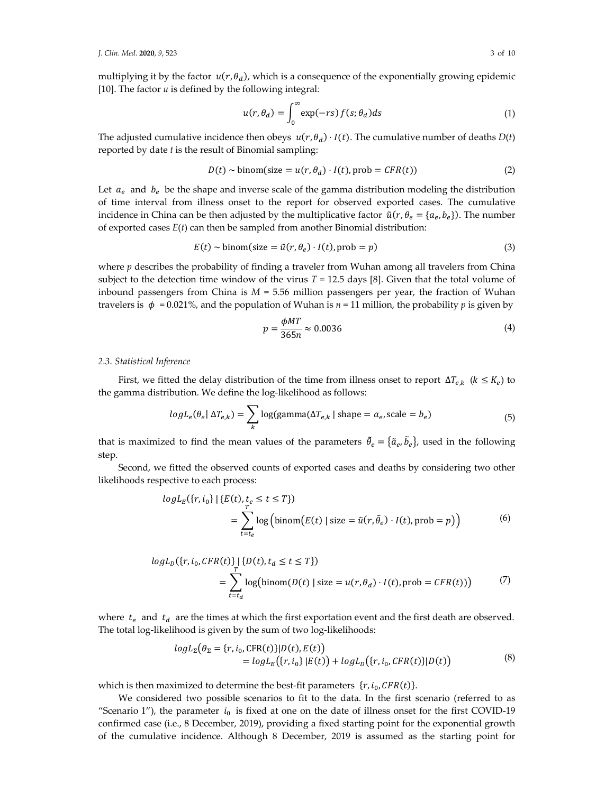multiplying it by the factor  $u(r, \theta_d)$ , which is a consequence of the exponentially growing epidemic [10]. The factor *u* is defined by the following integral*:*

$$
u(r, \theta_d) = \int_0^\infty \exp(-rs) f(s; \theta_d) ds \tag{1}
$$

The adjusted cumulative incidence then obeys  $u(r, \theta_d) \cdot I(t)$ . The cumulative number of deaths  $D(t)$ reported by date *t* is the result of Binomial sampling:

$$
D(t) \sim \text{binom}(\text{size} = u(r, \theta_d) \cdot I(t), \text{prob} = CFR(t))
$$
\n<sup>(2)</sup>

Let  $a_e$  and  $b_e$  be the shape and inverse scale of the gamma distribution modeling the distribution of time interval from illness onset to the report for observed exported cases. The cumulative incidence in China can be then adjusted by the multiplicative factor  $\tilde{u}(r, \theta_e = \{a_e, b_e\})$ . The number of exported cases *E*(*t*) can then be sampled from another Binomial distribution:

$$
E(t) \sim \text{binom}(\text{size} = \tilde{u}(r, \theta_e) \cdot I(t), \text{prob} = p) \tag{3}
$$

where  $p$  describes the probability of finding a traveler from Wuhan among all travelers from China subject to the detection time window of the virus  $T = 12.5$  days [8]. Given that the total volume of inbound passengers from China is  $M = 5.56$  million passengers per year, the fraction of Wuhan travelers is  $\phi = 0.021\%$ , and the population of Wuhan is  $n = 11$  million, the probability p is given by

$$
p = \frac{\phi M T}{365n} \approx 0.0036\tag{4}
$$

## *2.3. Statistical Inference*

First, we fitted the delay distribution of the time from illness onset to report  $\Delta T_{e,k}$  ( $k \leq K_e$ ) to the gamma distribution. We define the log-likelihood as follows:

$$
logL_e(\theta_e | \Delta T_{e,k}) = \sum_{k} log(gamma(\Delta T_{e,k} | shape = a_e, scale = b_e)
$$
\n(5)

that is maximized to find the mean values of the parameters  $\tilde{\theta}_e = {\tilde{a}_e, \tilde{b}_e}$ , used in the following step.

Second, we fitted the observed counts of exported cases and deaths by considering two other likelihoods respective to each process:

$$
logL_E(\lbrace r, i_0 \rbrace | \lbrace E(t), t_e \le t \le T \rbrace)
$$
  
= 
$$
\sum_{t=t_e}^{T} log\left(binom(E(t) | size = \tilde{u}(r, \tilde{\theta}_e) \cdot I(t), prob = p)\right)
$$
 (6)

$$
logL_D({r, i_0, CFR(t)} \t{t})
$$
  
= 
$$
\sum_{t=t_d}^{T} log(binom(D(t) \mid size = u(r, \theta_d) \cdot I(t), prob = CFR(t)))
$$
 (7)

where  $t_e$  and  $t_d$  are the times at which the first exportation event and the first death are observed. The total log-likelihood is given by the sum of two log-likelihoods:

$$
logL_{\Sigma}(\theta_{\Sigma} = \{r, i_{0}, \text{CFR}(t)\} | D(t), E(t))
$$
  
= logL\_{E}(\{r, i\_{0}\} | E(t)) + logL\_{D}(\{r, i\_{0}, \text{CFR}(t)\} | D(t)) (8)

which is then maximized to determine the best-fit parameters  $\{r, i_0, CFR(t)\}.$ 

We considered two possible scenarios to fit to the data. In the first scenario (referred to as "Scenario 1"), the parameter  $i_0$  is fixed at one on the date of illness onset for the first COVID-19 confirmed case (i.e., 8 December, 2019), providing a fixed starting point for the exponential growth of the cumulative incidence. Although 8 December, 2019 is assumed as the starting point for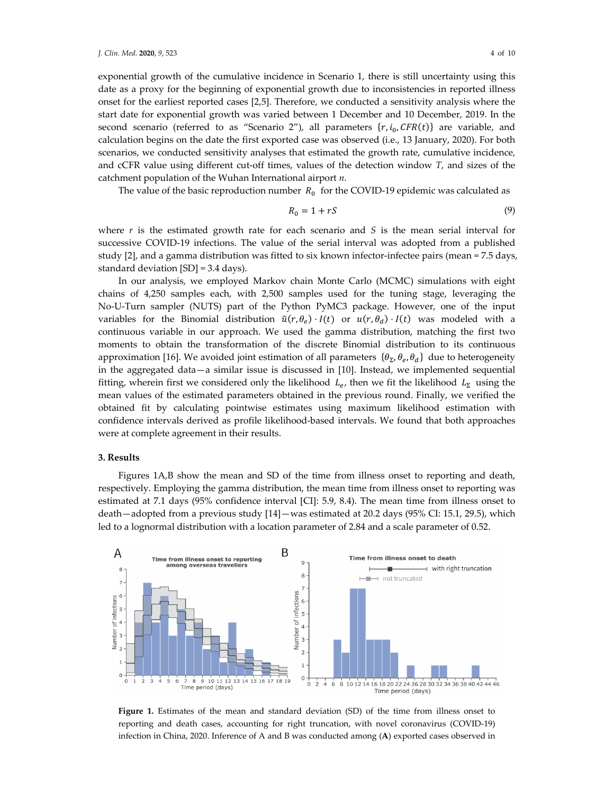exponential growth of the cumulative incidence in Scenario 1, there is still uncertainty using this date as a proxy for the beginning of exponential growth due to inconsistencies in reported illness onset for the earliest reported cases [2,5]. Therefore, we conducted a sensitivity analysis where the start date for exponential growth was varied between 1 December and 10 December, 2019. In the second scenario (referred to as "Scenario 2"), all parameters  $\{r, i_0, CFR(t)\}$  are variable, and calculation begins on the date the first exported case was observed (i.e., 13 January, 2020). For both scenarios, we conducted sensitivity analyses that estimated the growth rate, cumulative incidence, and cCFR value using different cut-off times, values of the detection window *T*, and sizes of the catchment population of the Wuhan International airport *n*.

The value of the basic reproduction number  $R_0$  for the COVID-19 epidemic was calculated as

$$
R_0 = 1 + rS \tag{9}
$$

where  $r$  is the estimated growth rate for each scenario and  $S$  is the mean serial interval for successive COVID-19 infections. The value of the serial interval was adopted from a published study [2], and a gamma distribution was fitted to six known infector-infectee pairs (mean = 7.5 days, standard deviation [SD] = 3.4 days).

In our analysis, we employed Markov chain Monte Carlo (MCMC) simulations with eight chains of 4,250 samples each, with 2,500 samples used for the tuning stage, leveraging the No-U-Turn sampler (NUTS) part of the Python PyMC3 package. However, one of the input variables for the Binomial distribution  $\tilde{u}(r, \theta_e) \cdot I(t)$  or  $u(r, \theta_d) \cdot I(t)$  was modeled with a continuous variable in our approach. We used the gamma distribution, matching the first two moments to obtain the transformation of the discrete Binomial distribution to its continuous approximation [16]. We avoided joint estimation of all parameters  $\{\theta_{\Sigma}, \theta_{e}, \theta_{d}\}$  due to heterogeneity in the aggregated data—a similar issue is discussed in [10]. Instead, we implemented sequential fitting, wherein first we considered only the likelihood  $L_e$ , then we fit the likelihood  $L_{\Sigma}$  using the mean values of the estimated parameters obtained in the previous round. Finally, we verified the obtained fit by calculating pointwise estimates using maximum likelihood estimation with confidence intervals derived as profile likelihood-based intervals. We found that both approaches were at complete agreement in their results.

## **3. Results**

Figures 1A,B show the mean and SD of the time from illness onset to reporting and death, respectively. Employing the gamma distribution, the mean time from illness onset to reporting was estimated at 7.1 days (95% confidence interval [CI]: 5.9, 8.4). The mean time from illness onset to death—adopted from a previous study [14]—was estimated at 20.2 days (95% CI: 15.1, 29.5), which led to a lognormal distribution with a location parameter of 2.84 and a scale parameter of 0.52.



**Figure 1.** Estimates of the mean and standard deviation (SD) of the time from illness onset to reporting and death cases, accounting for right truncation, with novel coronavirus (COVID-19) infection in China, 2020. Inference of A and B was conducted among (**A**) exported cases observed in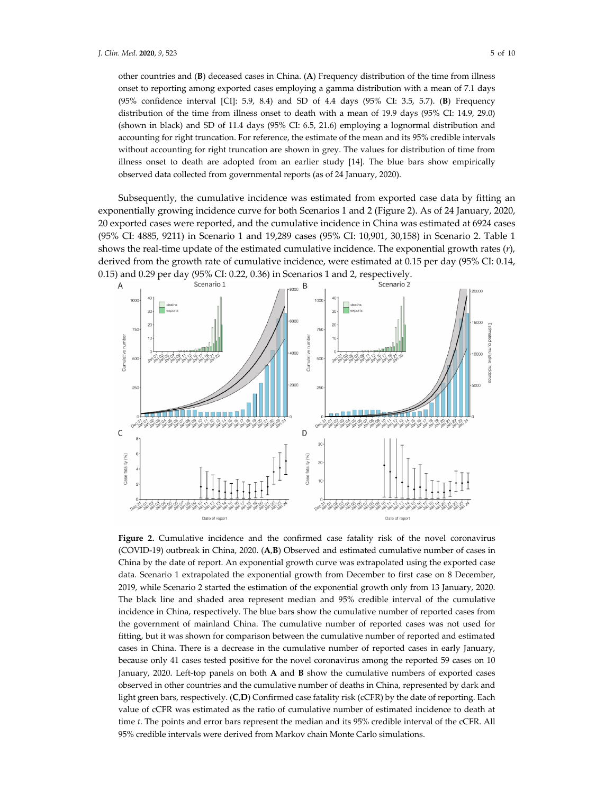other countries and (**B**) deceased cases in China. (**A**) Frequency distribution of the time from illness onset to reporting among exported cases employing a gamma distribution with a mean of 7.1 days (95% confidence interval [CI]: 5.9, 8.4) and SD of 4.4 days (95% CI: 3.5, 5.7). (**B**) Frequency distribution of the time from illness onset to death with a mean of 19.9 days (95% CI: 14.9, 29.0) (shown in black) and SD of 11.4 days (95% CI: 6.5, 21.6) employing a lognormal distribution and accounting for right truncation. For reference, the estimate of the mean and its 95% credible intervals without accounting for right truncation are shown in grey. The values for distribution of time from illness onset to death are adopted from an earlier study [14]. The blue bars show empirically observed data collected from governmental reports (as of 24 January, 2020).

Subsequently, the cumulative incidence was estimated from exported case data by fitting an exponentially growing incidence curve for both Scenarios 1 and 2 (Figure 2). As of 24 January, 2020, 20 exported cases were reported, and the cumulative incidence in China was estimated at 6924 cases (95% CI: 4885, 9211) in Scenario 1 and 19,289 cases (95% CI: 10,901, 30,158) in Scenario 2. Table 1 shows the real-time update of the estimated cumulative incidence. The exponential growth rates (*r*), derived from the growth rate of cumulative incidence, were estimated at 0.15 per day (95% CI: 0.14, 0.15) and 0.29 per day (95% CI: 0.22, 0.36) in Scenarios 1 and 2, respectively.



**Figure 2.** Cumulative incidence and the confirmed case fatality risk of the novel coronavirus (COVID-19) outbreak in China, 2020. (**A**,**B**) Observed and estimated cumulative number of cases in China by the date of report. An exponential growth curve was extrapolated using the exported case data. Scenario 1 extrapolated the exponential growth from December to first case on 8 December, 2019, while Scenario 2 started the estimation of the exponential growth only from 13 January, 2020. The black line and shaded area represent median and 95% credible interval of the cumulative incidence in China, respectively. The blue bars show the cumulative number of reported cases from the government of mainland China. The cumulative number of reported cases was not used for fitting, but it was shown for comparison between the cumulative number of reported and estimated cases in China. There is a decrease in the cumulative number of reported cases in early January, because only 41 cases tested positive for the novel coronavirus among the reported 59 cases on 10 January, 2020. Left-top panels on both **A** and **B** show the cumulative numbers of exported cases observed in other countries and the cumulative number of deaths in China, represented by dark and light green bars, respectively. (**C**,**D**) Confirmed case fatality risk (cCFR) by the date of reporting. Each value of cCFR was estimated as the ratio of cumulative number of estimated incidence to death at time *t*. The points and error bars represent the median and its 95% credible interval of the cCFR. All 95% credible intervals were derived from Markov chain Monte Carlo simulations.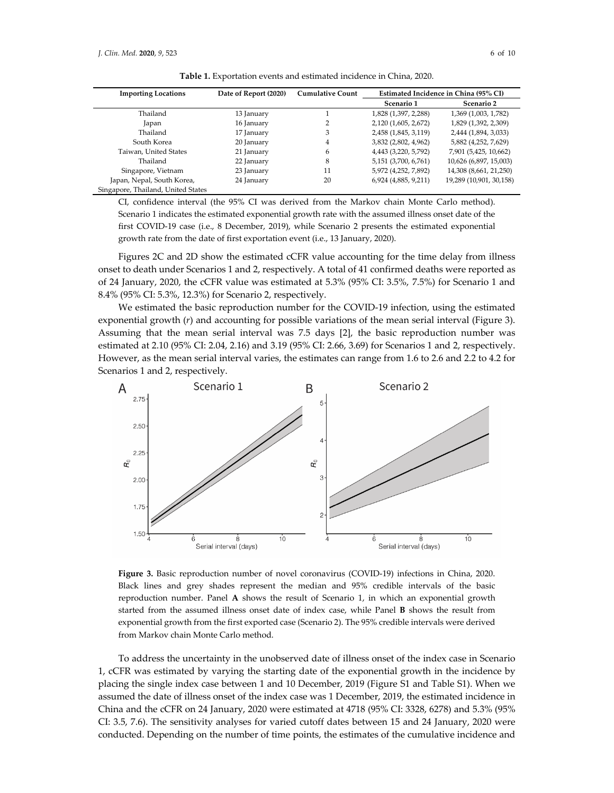| <b>Importing Locations</b>         | Date of Report (2020) | <b>Cumulative Count</b> | Estimated Incidence in China (95% CI) |                         |
|------------------------------------|-----------------------|-------------------------|---------------------------------------|-------------------------|
|                                    |                       |                         | Scenario 1                            | Scenario 2              |
| Thailand                           | 13 January            |                         | 1,828 (1,397, 2,288)                  | 1,369 (1,003, 1,782)    |
| Japan                              | 16 January            |                         | 2,120 (1,605, 2,672)                  | 1,829 (1,392, 2,309)    |
| Thailand                           | 17 January            | 3                       | 2,458 (1,845, 3,119)                  | 2,444 (1,894, 3,033)    |
| South Korea                        | 20 January            | 4                       | 3,832 (2,802, 4,962)                  | 5,882 (4,252, 7,629)    |
| Taiwan, United States              | 21 January            | 6                       | 4,443 (3,220, 5,792)                  | 7,901 (5,425, 10,662)   |
| Thailand                           | 22 January            | 8                       | 5,151 (3,700, 6,761)                  | 10,626 (6,897, 15,003)  |
| Singapore, Vietnam                 | 23 January            | 11                      | 5,972 (4,252, 7,892)                  | 14,308 (8,661, 21,250)  |
| Japan, Nepal, South Korea,         | 24 January            | 20                      | 6,924 (4,885, 9,211)                  | 19,289 (10,901, 30,158) |
| Singapore, Thailand, United States |                       |                         |                                       |                         |

**Table 1.** Exportation events and estimated incidence in China, 2020.

CI, confidence interval (the 95% CI was derived from the Markov chain Monte Carlo method). Scenario 1 indicates the estimated exponential growth rate with the assumed illness onset date of the first COVID-19 case (i.e., 8 December, 2019), while Scenario 2 presents the estimated exponential growth rate from the date of first exportation event (i.e., 13 January, 2020).

Figures 2C and 2D show the estimated cCFR value accounting for the time delay from illness onset to death under Scenarios 1 and 2, respectively. A total of 41 confirmed deaths were reported as of 24 January, 2020, the cCFR value was estimated at 5.3% (95% CI: 3.5%, 7.5%) for Scenario 1 and 8.4% (95% CI: 5.3%, 12.3%) for Scenario 2, respectively.

We estimated the basic reproduction number for the COVID-19 infection, using the estimated exponential growth (*r*) and accounting for possible variations of the mean serial interval (Figure 3). Assuming that the mean serial interval was 7.5 days [2], the basic reproduction number was estimated at 2.10 (95% CI: 2.04, 2.16) and 3.19 (95% CI: 2.66, 3.69) for Scenarios 1 and 2, respectively. However, as the mean serial interval varies, the estimates can range from 1.6 to 2.6 and 2.2 to 4.2 for Scenarios 1 and 2, respectively.



**Figure 3.** Basic reproduction number of novel coronavirus (COVID-19) infections in China, 2020. Black lines and grey shades represent the median and 95% credible intervals of the basic reproduction number. Panel **A** shows the result of Scenario 1, in which an exponential growth started from the assumed illness onset date of index case, while Panel **B** shows the result from exponential growth from the first exported case (Scenario 2). The 95% credible intervals were derived from Markov chain Monte Carlo method.

To address the uncertainty in the unobserved date of illness onset of the index case in Scenario 1, cCFR was estimated by varying the starting date of the exponential growth in the incidence by placing the single index case between 1 and 10 December, 2019 (Figure S1 and Table S1). When we assumed the date of illness onset of the index case was 1 December, 2019, the estimated incidence in China and the cCFR on 24 January, 2020 were estimated at 4718 (95% CI: 3328, 6278) and 5.3% (95% CI: 3.5, 7.6). The sensitivity analyses for varied cutoff dates between 15 and 24 January, 2020 were conducted. Depending on the number of time points, the estimates of the cumulative incidence and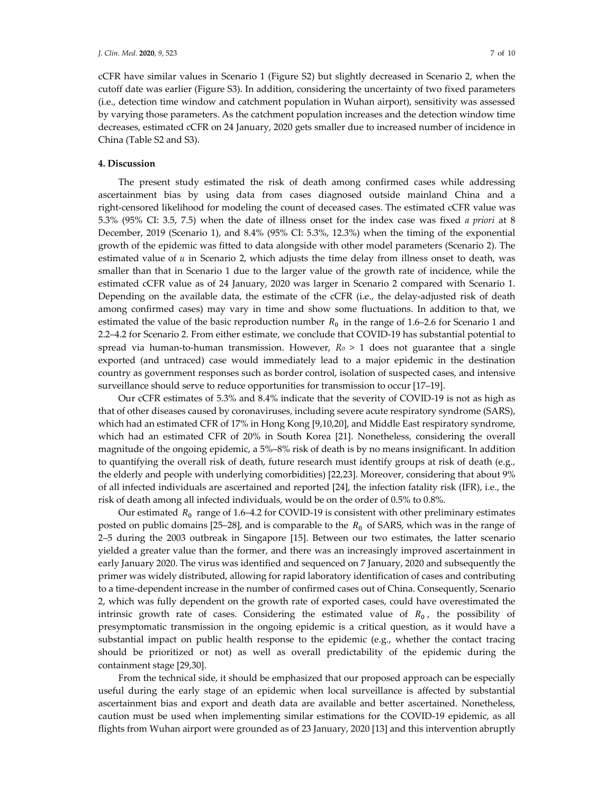cCFR have similar values in Scenario 1 (Figure S2) but slightly decreased in Scenario 2, when the cutoff date was earlier (Figure S3). In addition, considering the uncertainty of two fixed parameters (i.e., detection time window and catchment population in Wuhan airport), sensitivity was assessed by varying those parameters. As the catchment population increases and the detection window time decreases, estimated cCFR on 24 January, 2020 gets smaller due to increased number of incidence in China (Table S2 and S3).

## **4. Discussion**

The present study estimated the risk of death among confirmed cases while addressing ascertainment bias by using data from cases diagnosed outside mainland China and a right-censored likelihood for modeling the count of deceased cases. The estimated cCFR value was 5.3% (95% CI: 3.5, 7.5) when the date of illness onset for the index case was fixed *a priori* at 8 December, 2019 (Scenario 1), and 8.4% (95% CI: 5.3%, 12.3%) when the timing of the exponential growth of the epidemic was fitted to data alongside with other model parameters (Scenario 2). The estimated value of *u* in Scenario 2, which adjusts the time delay from illness onset to death, was smaller than that in Scenario 1 due to the larger value of the growth rate of incidence, while the estimated cCFR value as of 24 January, 2020 was larger in Scenario 2 compared with Scenario 1. Depending on the available data, the estimate of the cCFR (i.e., the delay-adjusted risk of death among confirmed cases) may vary in time and show some fluctuations. In addition to that, we estimated the value of the basic reproduction number  $R_0$  in the range of 1.6–2.6 for Scenario 1 and 2.2–4.2 for Scenario 2. From either estimate, we conclude that COVID-19 has substantial potential to spread via human-to-human transmission. However,  $R_0 > 1$  does not guarantee that a single exported (and untraced) case would immediately lead to a major epidemic in the destination country as government responses such as border control, isolation of suspected cases, and intensive surveillance should serve to reduce opportunities for transmission to occur [17–19].

Our cCFR estimates of 5.3% and 8.4% indicate that the severity of COVID-19 is not as high as that of other diseases caused by coronaviruses, including severe acute respiratory syndrome (SARS), which had an estimated CFR of 17% in Hong Kong [9,10,20], and Middle East respiratory syndrome, which had an estimated CFR of 20% in South Korea [21]. Nonetheless, considering the overall magnitude of the ongoing epidemic, a 5%–8% risk of death is by no means insignificant. In addition to quantifying the overall risk of death, future research must identify groups at risk of death (e.g., the elderly and people with underlying comorbidities) [22,23]. Moreover, considering that about 9% of all infected individuals are ascertained and reported [24], the infection fatality risk (IFR), i.e., the risk of death among all infected individuals, would be on the order of 0.5% to 0.8%.

Our estimated  $R_0$  range of 1.6–4.2 for COVID-19 is consistent with other preliminary estimates posted on public domains [25–28], and is comparable to the  $R_0$  of SARS, which was in the range of 2–5 during the 2003 outbreak in Singapore [15]. Between our two estimates, the latter scenario yielded a greater value than the former, and there was an increasingly improved ascertainment in early January 2020. The virus was identified and sequenced on 7 January, 2020 and subsequently the primer was widely distributed, allowing for rapid laboratory identification of cases and contributing to a time-dependent increase in the number of confirmed cases out of China. Consequently, Scenario 2, which was fully dependent on the growth rate of exported cases, could have overestimated the intrinsic growth rate of cases. Considering the estimated value of  $R_0$ , the possibility of presymptomatic transmission in the ongoing epidemic is a critical question, as it would have a substantial impact on public health response to the epidemic (e.g., whether the contact tracing should be prioritized or not) as well as overall predictability of the epidemic during the containment stage [29,30].

From the technical side, it should be emphasized that our proposed approach can be especially useful during the early stage of an epidemic when local surveillance is affected by substantial ascertainment bias and export and death data are available and better ascertained. Nonetheless, caution must be used when implementing similar estimations for the COVID-19 epidemic, as all flights from Wuhan airport were grounded as of 23 January, 2020 [13] and this intervention abruptly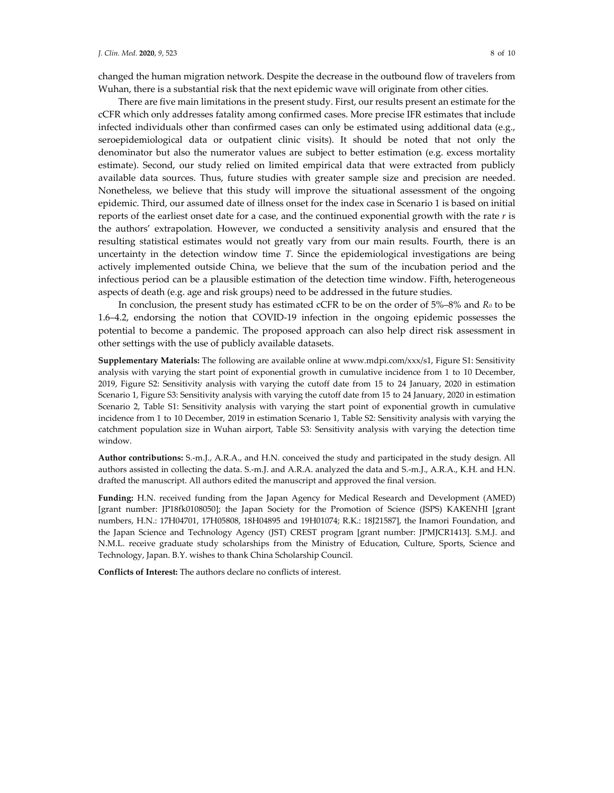changed the human migration network. Despite the decrease in the outbound flow of travelers from Wuhan, there is a substantial risk that the next epidemic wave will originate from other cities.

There are five main limitations in the present study. First, our results present an estimate for the cCFR which only addresses fatality among confirmed cases. More precise IFR estimates that include infected individuals other than confirmed cases can only be estimated using additional data (e.g., seroepidemiological data or outpatient clinic visits). It should be noted that not only the denominator but also the numerator values are subject to better estimation (e.g. excess mortality estimate). Second, our study relied on limited empirical data that were extracted from publicly available data sources. Thus, future studies with greater sample size and precision are needed. Nonetheless, we believe that this study will improve the situational assessment of the ongoing epidemic. Third, our assumed date of illness onset for the index case in Scenario 1 is based on initial reports of the earliest onset date for a case, and the continued exponential growth with the rate *r* is the authors' extrapolation. However, we conducted a sensitivity analysis and ensured that the resulting statistical estimates would not greatly vary from our main results. Fourth, there is an uncertainty in the detection window time *T*. Since the epidemiological investigations are being actively implemented outside China, we believe that the sum of the incubation period and the infectious period can be a plausible estimation of the detection time window. Fifth, heterogeneous aspects of death (e.g. age and risk groups) need to be addressed in the future studies.

In conclusion, the present study has estimated cCFR to be on the order of 5%–8% and *R0* to be 1.6–4.2, endorsing the notion that COVID-19 infection in the ongoing epidemic possesses the potential to become a pandemic. The proposed approach can also help direct risk assessment in other settings with the use of publicly available datasets.

**Supplementary Materials:** The following are available online at www.mdpi.com/xxx/s1, Figure S1: Sensitivity analysis with varying the start point of exponential growth in cumulative incidence from 1 to 10 December, 2019, Figure S2: Sensitivity analysis with varying the cutoff date from 15 to 24 January, 2020 in estimation Scenario 1, Figure S3: Sensitivity analysis with varying the cutoff date from 15 to 24 January, 2020 in estimation Scenario 2, Table S1: Sensitivity analysis with varying the start point of exponential growth in cumulative incidence from 1 to 10 December, 2019 in estimation Scenario 1, Table S2: Sensitivity analysis with varying the catchment population size in Wuhan airport, Table S3: Sensitivity analysis with varying the detection time window.

**Author contributions:** S.-m.J., A.R.A., and H.N. conceived the study and participated in the study design. All authors assisted in collecting the data. S.-m.J. and A.R.A. analyzed the data and S.-m.J., A.R.A., K.H. and H.N. drafted the manuscript. All authors edited the manuscript and approved the final version.

**Funding:** H.N. received funding from the Japan Agency for Medical Research and Development (AMED) [grant number: JP18fk0108050]; the Japan Society for the Promotion of Science (JSPS) KAKENHI [grant numbers, H.N.: 17H04701, 17H05808, 18H04895 and 19H01074; R.K.: 18J21587], the Inamori Foundation, and the Japan Science and Technology Agency (JST) CREST program [grant number: JPMJCR1413]. S.M.J. and N.M.L. receive graduate study scholarships from the Ministry of Education, Culture, Sports, Science and Technology, Japan. B.Y. wishes to thank China Scholarship Council.

**Conflicts of Interest:** The authors declare no conflicts of interest.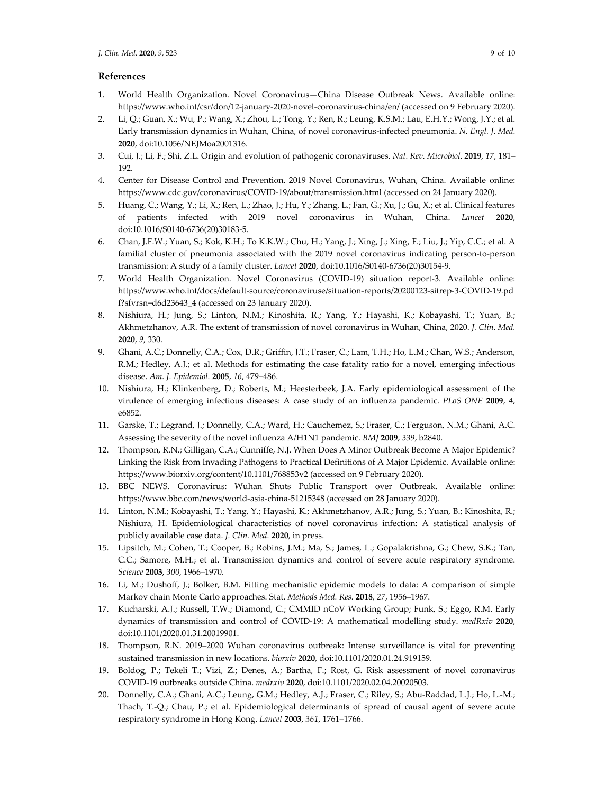## **References**

- 1. World Health Organization. Novel Coronavirus—China Disease Outbreak News. Available online: https://www.who.int/csr/don/12-january-2020-novel-coronavirus-china/en/ (accessed on 9 February 2020).
- 2. Li, Q.; Guan, X.; Wu, P.; Wang, X.; Zhou, L.; Tong, Y.; Ren, R.; Leung, K.S.M.; Lau, E.H.Y.; Wong, J.Y.; et al. Early transmission dynamics in Wuhan, China, of novel coronavirus-infected pneumonia. *N. Engl. J. Med.*  **2020**, doi:10.1056/NEJMoa2001316.
- 3. Cui, J.; Li, F.; Shi, Z.L. Origin and evolution of pathogenic coronaviruses. *Nat. Rev. Microbiol.* **2019**, *17*, 181– 192.
- 4. Center for Disease Control and Prevention. 2019 Novel Coronavirus, Wuhan, China. Available online: https://www.cdc.gov/coronavirus/COVID-19/about/transmission.html (accessed on 24 January 2020).
- 5. Huang, C.; Wang, Y.; Li, X.; Ren, L.; Zhao, J.; Hu, Y.; Zhang, L.; Fan, G.; Xu, J.; Gu, X.; et al. Clinical features of patients infected with 2019 novel coronavirus in Wuhan, China. *Lancet* **2020**, doi:10.1016/S0140-6736(20)30183-5.
- 6. Chan, J.F.W.; Yuan, S.; Kok, K.H.; To K.K.W.; Chu, H.; Yang, J.; Xing, J.; Xing, F.; Liu, J.; Yip, C.C.; et al. A familial cluster of pneumonia associated with the 2019 novel coronavirus indicating person-to-person transmission: A study of a family cluster. *Lancet* **2020**, doi:10.1016/S0140-6736(20)30154-9.
- 7. World Health Organization. Novel Coronavirus (COVID-19) situation report-3. Available online: https://www.who.int/docs/default-source/coronaviruse/situation-reports/20200123-sitrep-3-COVID-19.pd f?sfvrsn=d6d23643\_4 (accessed on 23 January 2020).
- 8. Nishiura, H.; Jung, S.; Linton, N.M.; Kinoshita, R.; Yang, Y.; Hayashi, K.; Kobayashi, T.; Yuan, B.; Akhmetzhanov, A.R. The extent of transmission of novel coronavirus in Wuhan, China, 2020. *J. Clin. Med.*  **2020**, *9*, 330.
- 9. Ghani, A.C.; Donnelly, C.A.; Cox, D.R.; Griffin, J.T.; Fraser, C.; Lam, T.H.; Ho, L.M.; Chan, W.S.; Anderson, R.M.; Hedley, A.J.; et al. Methods for estimating the case fatality ratio for a novel, emerging infectious disease. *Am. J. Epidemiol.* **2005**, *16*, 479–486.
- 10. Nishiura, H.; Klinkenberg, D.; Roberts, M.; Heesterbeek, J.A. Early epidemiological assessment of the virulence of emerging infectious diseases: A case study of an influenza pandemic. *PLoS ONE* **2009**, *4*, e6852.
- 11. Garske, T.; Legrand, J.; Donnelly, C.A.; Ward, H.; Cauchemez, S.; Fraser, C.; Ferguson, N.M.; Ghani, A.C. Assessing the severity of the novel influenza A/H1N1 pandemic. *BMJ* **2009**, *339*, b2840.
- 12. Thompson, R.N.; Gilligan, C.A.; Cunniffe, N.J. When Does A Minor Outbreak Become A Major Epidemic? Linking the Risk from Invading Pathogens to Practical Definitions of A Major Epidemic. Available online: https://www.biorxiv.org/content/10.1101/768853v2 (accessed on 9 February 2020).
- 13. BBC NEWS. Coronavirus: Wuhan Shuts Public Transport over Outbreak. Available online: https://www.bbc.com/news/world-asia-china-51215348 (accessed on 28 January 2020).
- 14. Linton, N.M.; Kobayashi, T.; Yang, Y.; Hayashi, K.; Akhmetzhanov, A.R.; Jung, S.; Yuan, B.; Kinoshita, R.; Nishiura, H. Epidemiological characteristics of novel coronavirus infection: A statistical analysis of publicly available case data. *J. Clin. Med.* **2020**, in press.
- 15. Lipsitch, M.; Cohen, T.; Cooper, B.; Robins, J.M.; Ma, S.; James, L.; Gopalakrishna, G.; Chew, S.K.; Tan, C.C.; Samore, M.H.; et al. Transmission dynamics and control of severe acute respiratory syndrome. *Science* **2003**, *300*, 1966–1970.
- 16. Li, M.; Dushoff, J.; Bolker, B.M. Fitting mechanistic epidemic models to data: A comparison of simple Markov chain Monte Carlo approaches. Stat. *Methods Med. Res.* **2018**, *27*, 1956–1967.
- 17. Kucharski, A.J.; Russell, T.W.; Diamond, C.; CMMID nCoV Working Group; Funk, S.; Eggo, R.M. Early dynamics of transmission and control of COVID-19: A mathematical modelling study. *medRxiv* **2020**, doi:10.1101/2020.01.31.20019901.
- 18. Thompson, R.N. 2019–2020 Wuhan coronavirus outbreak: Intense surveillance is vital for preventing sustained transmission in new locations. *biorxiv* **2020**, doi:10.1101/2020.01.24.919159.
- 19. Boldog, P.; Tekeli T.; Vizi, Z.; Denes, A.; Bartha, F.; Rost, G. Risk assessment of novel coronavirus COVID-19 outbreaks outside China. *medrxiv* **2020**, doi:10.1101/2020.02.04.20020503.
- 20. Donnelly, C.A.; Ghani, A.C.; Leung, G.M.; Hedley, A.J.; Fraser, C.; Riley, S.; Abu-Raddad, L.J.; Ho, L.-M.; Thach, T.-Q.; Chau, P.; et al. Epidemiological determinants of spread of causal agent of severe acute respiratory syndrome in Hong Kong. *Lancet* **2003**, *361*, 1761–1766.